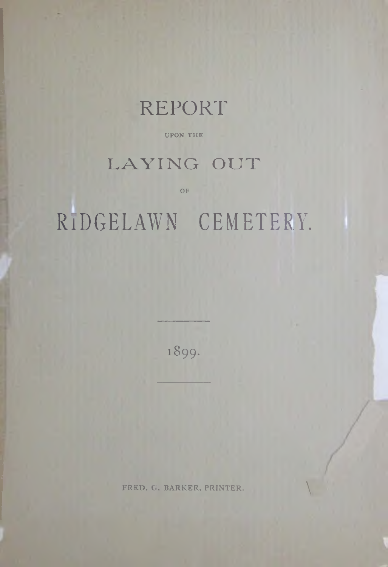

UPON THE

## LAYING OUT

 $OF$ 

# RIDGELAWN CEMETERY.

1899.

FRED. G. BARKER, PRINTER.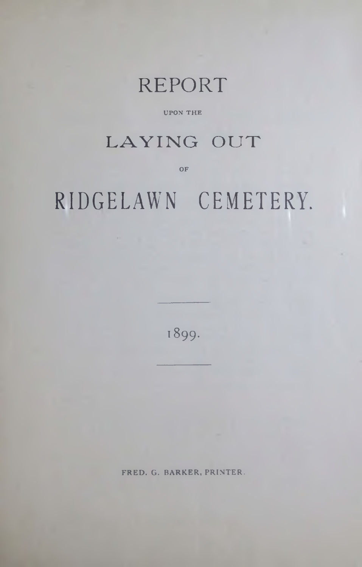## REPORT

#### UPON THE

### LAYING OUT

OF

# **RIDGELAWN CEMETERY.**

1899.

FRED. G. BARKER, PRINTER.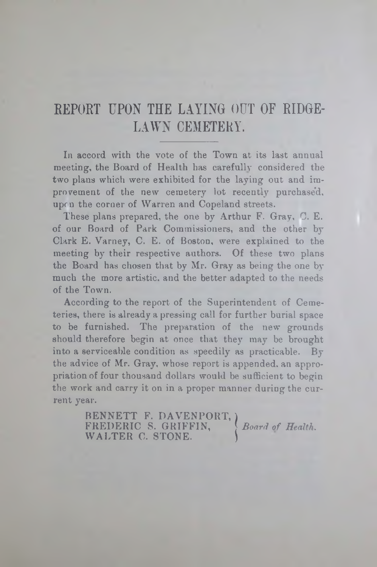### **REPORT UPON THE LAYING OUT OF RIDGE-**LAWN CEMETERY.

In accord with the vote of the Town at its last annual meeting, the Board of Health has carefully considered the two plans which were exhibited for the laying out and improvement of the new cemetery lot recently purchased, upon the corner of Warren and Copeland streets.

These plans prepared, the one by Arthur F. Gray, C. E. of our Board of Park Commissioners, and the other by Clark E. Varney, C. E. of Boston, were explained to the meeting by their respective authors. Of these two plans the Board has chosen that by Mr. Gray as being the one by much the more artistic, and the better adapted to the needs of the Town.

According to the report of the Superintendent of Cemeteries, there is already a pressing call for further burial space to be furnished. The preparation of the new grounds should therefore begin at once that they may be brought into a serviceable condition as speedily as practicable.  $B_y$ the advice of Mr. Gray, whose report is appended, an appropriation of four thousand dollars would be sufficient to begin the work and carry it on in a proper manner during the current year.

> BENNETT F. DAVENPORT, Board of Health. FREDERIC S. GRIFFIN, *} Board of Health*. WALTER C. STONE.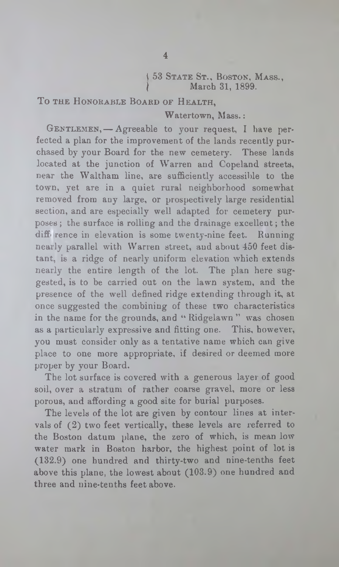#### l 53 State St ., Boston, Mass., March 31, 1899.

TO THE HONORABLE BOARD OF HEALTH.

Watertown, Mass.:

GENTLEMEN, - Agreeable to your request, I have perfected a plan for the improvement of the lands recently purchased by your Board for the new cemetery. These lands located at the junction of Warren and Copeland streets, near the Waltham line, are sufficiently accessible to the town, yet are in a quiet rural neighborhood somewhat removed from any large, or prospectively large residential section, and are especially well adapted for cemetery purposes; the surface is rolling and the drainage excellent; the diffi rence in elevation is some twenty-nine feet. Running nearly parallel with Warren street, and about 450 feet distant, is a ridge of nearly uniform elevation which extends nearly the entire length of the lot. The plan here suggested, is to be carried out on the lawn system, and the presence of the well defined ridge extending through it, at once suggested the combining of these two characteristics in the name for the grounds, and "Ridgelawn" was chosen as a particularly expressive and fitting one. This, however, you must consider only as a tentative name which can give place to one more appropriate, if desired or deemed more proper by your Board.

The lot surface is covered with a generous layer of good soil, over a stratum of rather coarse gravel, more or less porous, and affording a good site for burial purposes.

The levels of the lot are given by contour lines at intervals of (2) two feet vertically, these levels are referred to the Boston datum plane, the zero of which, is mean low water mark in Boston harbor, the highest point of lot is (132.9) one hundred and thirty-two and nine-tenths feet above this plane, the lowest about (103.9) one hundred and three and nine-tenths feet above.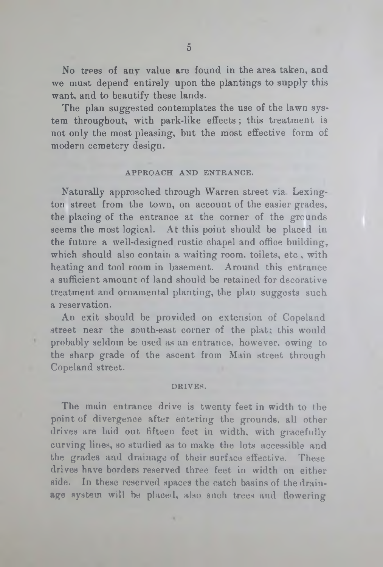No trees of any value are found in the area taken, and we must depend entirely upon the plantings to supply this want, and to beautify these lands.

The plan suggested contemplates the use of the lawn system throughout, with park-like effects ; this treatment is not only the most pleasing, but the most effective form of modern cemetery design.

#### APPROACH AND ENTRANCE.

Naturally approached through Warren street via. Lexington street from the town, on account of the easier grades, the placing of the entrance at the corner of the grounds seems the most logical. At this point should be placed in the future a well-designed rustic chapel and office building, which should also contain a waiting room, toilets, etc, with heating and tool room in basement. Around this entrance a sufficient amount of land should be retained for decorative treatment and ornamental planting, the plan suggests such a reservation.

An exit should be provided on extension of Copeland street near the south-east corner of the plat; this would probably seldom be used as an entrance, however, owing to the sharp grade of the ascent from Main street through Copeland street.

#### DRIVES.

The main entrance drive is twenty feet in width to the point of divergence after entering the grounds, all other drives are laid out fifteen feet in width, with gracefully curving lines, so studied as to make the lots accessible and the grades and drainage of their surface effective. These drives have borders reserved three feet in width on either side. In these reserved spaces the catch basins of the drainage system will be placed, also such trees and flowering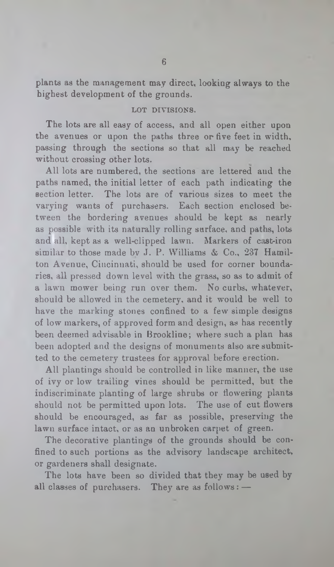plants as the management may direct, looking always to the highest development of the grounds.

#### LOT DIVISIONS.

The lots are all easy of access, and all open either upon the avenues or upon the paths three or five feet in width, passing through the sections so that all may be reached without crossing other lots.

All lots are numbered, the sections are lettered and the paths named, the initial letter of each path indicating the section letter. The lots are of various sizes to meet the varying wants of purchasers. Each section enclosed between the bordering avenues should be kept as nearly as possible with its naturally rolling surface, and paths, lots and all, kept as a well-clipped lawn. Markers of cast-iron similar to those made by J. P. Williams & Co., 237 Hamilton Avenue, Cincinnati, should be used for corner boundaries, all pressed down level with the grass, so as to admit of a lawn mower being run over them. No curbs, whatever, should be allowed in the cemetery, and it would be well to have the marking stones confined to a few simple designs of low markers, of approved form and design, as has recently been deemed advisable in Brookline; where such a plan has been adopted and the designs of monuments also are submitted to the cemetery trustees for approval before erection.

All plantings should be controlled in like manner, the use of ivy or low trailing vines should be permitted, but the indiscriminate planting of large shrubs or flowering plants should not be permitted upon lots. The use of cut flowers should be encouraged, as far as possible, preserving the lawn surface intact, or as an unbroken carpet of green.

The decorative plantings of the grounds should be confined to such portions as the advisory landscape architect, or gardeners shall designate.

The lots have been so divided that they may be used by all classes of purchasers. They are as follows:  $-$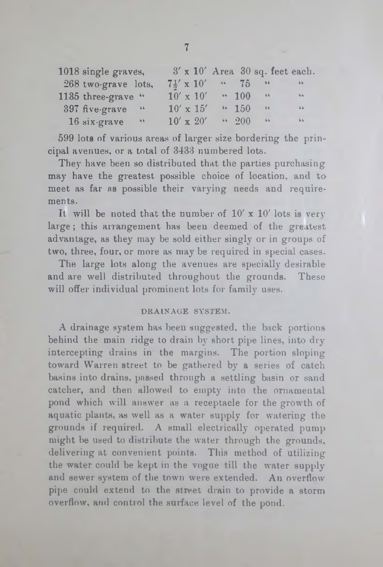| 1018 single graves, |        |  |                      |                        |                            | $3' \times 10'$ Area 30 sq. feet each. |
|---------------------|--------|--|----------------------|------------------------|----------------------------|----------------------------------------|
| 268 two-grave lots, |        |  | $7\frac{1}{5}$ x 10' | $\cdot \cdot \cdot 75$ | 66                         | 66                                     |
| 1135 three-grave "  |        |  | $10' \times 10'$     | $\sim 100$             | $\bf 6.6$                  | 66                                     |
| 397 five-grave      | $-66$  |  | $10' \times 15'$     | 4150                   | $6.6\,$                    | $66 -$                                 |
| $16$ six-grave      | $-6.6$ |  | $10' \times 20'$     | 4200                   | $\mathbf{6}\,\,\mathbf{6}$ | 66                                     |

599 lots of various areas of larger size bordering the principal avenues, or a total of 3133 numbered lots.

They have been so distributed that the parties purchasing may have the greatest possible choice of location, and to meet as far as possible their varying needs and requirements.

It will be noted that the number of  $10' \times 10'$  lots is very large; this arrangement has beeu deemed of the greatest advantage, as they may be sold either singly or in groups of two, three, four, or more as may be required in special cases.

The large lots along the avenues are specially desirable and are well distributed throughout the grounds. These will offer individual prominent lots for family uses.

#### DRAINAGE SYSTEM.

A drainage system has been suggested, the back portions behind the main ridge to drain by short pipe lines, into dry intercepting drains in the margins. The portion sloping toward Warren street to be gathered by a series of catch basins into drains, passed through a settling basin or sand catcher, and then allowed to empty into the ornamental pond which will answer as a receptacle for the growth of aquatic plants, as well as a water supply for watering the grounds if required. A small electrically operated pump might be used to distribute the water through the grounds, delivering at convenient points. This method of utilizing the water could be kept in the vogue till the water supply and sewer system of the town were extended. An overflow pipe could extend to the street drain to provide a storm overflow, and control the surface level of the pond.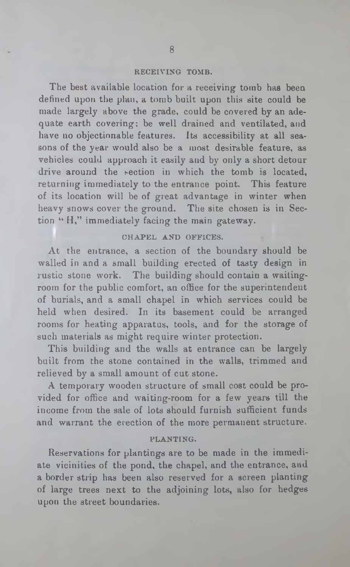#### RECEIVING TOMB.

The best available location for a receiving tomb has been defined upon the plan, a tomb built upon this site could be made largely above the grade, could be covered by an adequate earth covering; be well drained and ventilated, and have no objectionable features. Its accessibility at all seasons of the year would also be a most desirable feature, as vehicles could approach it easily and by only a short detour drive around the section in which the tomb is located, returning immediately to the entrance point. This feature of its location will be of great advantage in winter when heavy snows cover the ground. The site chosen is in Section "H," immediately facing the main gateway.

#### CHAPEL AND OFFICES.

At the entrance, a section of the boundary should be walled in and a small building erected of tasty design in rustic stone work. The building should contain a waitingroom for the public comfort, an office for the superintendent of burials, and a small chapel in which services could be held when desired. In its basement could be arranged rooms for heating apparatus, tools, and for the storage of such materials as might require winter protection.

This building and the walls at entrance can be largely built from the stone contained in the walls, trimmed and relieved by a small amount of cut stone.

A temporary wooden structure of small cost could be provided for office and waiting-room for a few years till the income from the sale of lots should furnish sufficient funds and warrant the erection of the more permanent structure.

#### PLANTING.

Reservations for plantings are to be made in the immediate vicinities of the pond, the chapel, and the entrance, and a border strip has been also reserved for a screen planting of large trees next to the adjoining lots, also for hedges upon the street boundaries.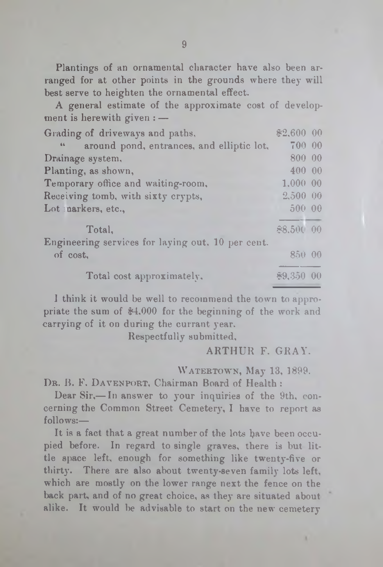Plantings of an ornamental character have also been arranged for at other points in the grounds where they will best serve to heighten the ornamental effect.

A general estimate of the approximate cost of development is herewith given : —

| Grading of driveways and paths,                   | \$2,600 00  |  |
|---------------------------------------------------|-------------|--|
| around pond, entrances, and elliptic lot,<br>66   | 700 00      |  |
| Drainage system,                                  | 800 00      |  |
| Planting, as shown,                               | 400 00      |  |
| Temporary office and waiting-room.                | 1,00000     |  |
| Receiving tomb, with sixty crypts,                | 2,500 00    |  |
| Lot parkers, etc.,                                | 500 00      |  |
| Total,                                            | \$8,500 00  |  |
| Engineering services for laying out. 10 per cent. |             |  |
| of cost,                                          | 850.00      |  |
| Total cost approximately.                         | $$9,350$ 00 |  |

1 think it would be well to recommend the town to appropriate the sum of \$4,000 for the beginning of the work and carrying of it on during the currant year.

Respectfully submitted,

ARTHUR F. GRAY.

WATERTOWN, May 13, 1899.

DR. B. F. DAVENPORT, Chairman Board of Health :

Dear Sir,— In answer to your inquiries of the 9th, concerning the Common Street Cemetery, I have to report as follows:—

It is a fact that a great number of the lots have been occupied before. In regard to single graves, there is but little space left, enough for something like twenty-five or thirty. There are also about twenty-seven family lots left, which are mostly on the lower range next the fence on the back part, and of no great choice, as they are situated about alike. It would be advisable to start on the new cemetery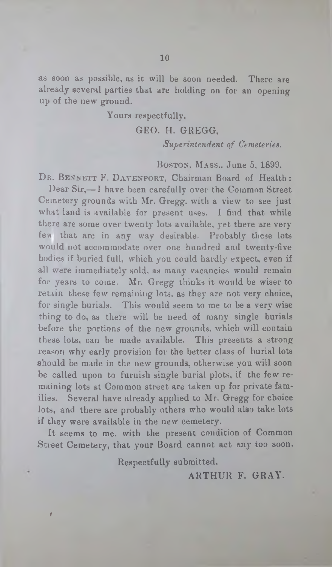as soon as possible, as it will be soon needed. There are already several parties that are holding on for an opening up of the new ground.

#### Yours respectfully,

#### GEO. H. GREGG,

*Superintendent of Cemeteries.*

#### Boston. Mass., June 5, 1899.

DR. BENNETT F. DAVENPORT, Chairman Board of Health:

Dear Sir,— I have been carefully over the Common Street Cemetery grounds with Mr. Gregg, with a view to see just what land is available for present uses. I find that while there are some over twenty lots available, yet there are very few that are in any way desirable. Probably these lots would not accommodate over one hundred and twenty-five bodies if buried full, which you could hardly expect, even if all were immediately sold, as many vacancies would remain for years to come. Mr. Gregg thinks it would be wiser to retain these few remaining lots, as they are not very choice, for single burials. This would seem to me to be a very wise thing to do, as there will be need of many single burials before the portions of the new grounds, which will contain these lots, can be made available. This presents a strong reason why early provision for the better class of burial lots should be made in the new grounds, otherwise you will soon be called upon to furnish single burial plots, if the few remaining lots at Common street are taken up for private families. Several have already applied to Mr. Gregg for choice lots, and there are probably others who would also take lots if they were available in the new cemetery.

It seems to me, with the present condition of Common Street Cemetery, that your Board cannot act any too soon.

Respectfully submitted,

 $\mathbf{r}$ *i*

ARTHUR F. GRAY.